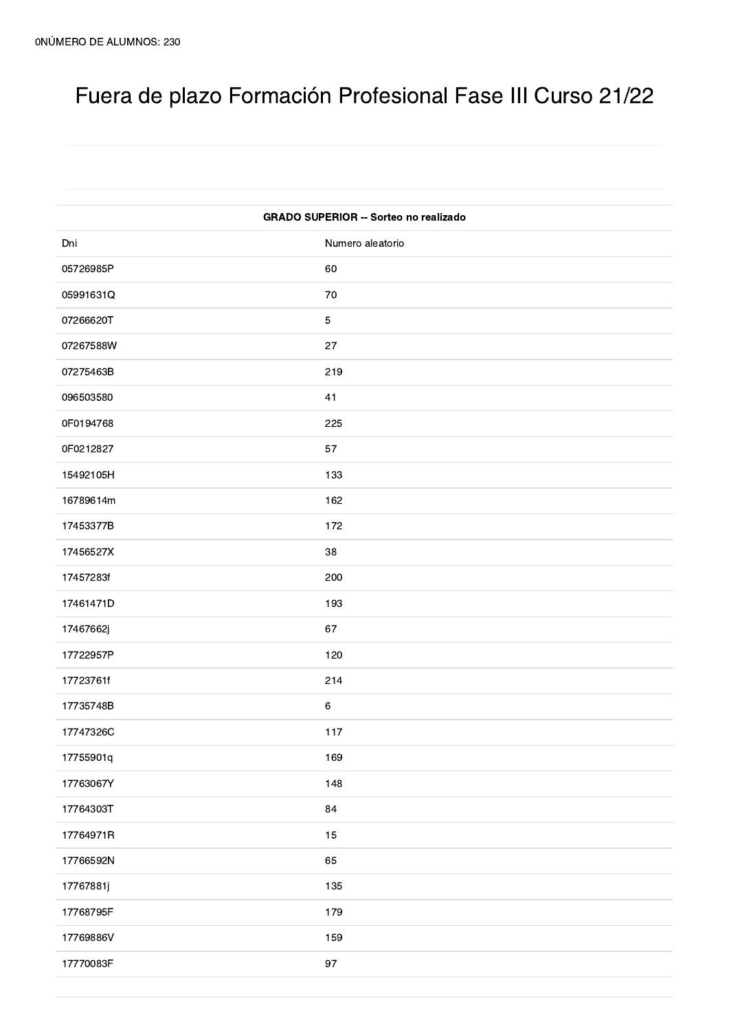## Fuera de plazo Formación Profesional Fase III Curso 21/22

| <b>GRADO SUPERIOR -- Sorteo no realizado</b> |                  |
|----------------------------------------------|------------------|
| Dni                                          | Numero aleatorio |
| 05726985P                                    | 60               |
| 05991631Q                                    | 70               |
| 07266620T                                    | $\sqrt{5}$       |
| 07267588W                                    | 27               |
| 07275463B                                    | 219              |
| 096503580                                    | 41               |
| 0F0194768                                    | 225              |
| 0F0212827                                    | 57               |
| 15492105H                                    | 133              |
| 16789614m                                    | 162              |
| 17453377B                                    | 172              |
| 17456527X                                    | 38               |
| 17457283f                                    | 200              |
| 17461471D                                    | 193              |
| 17467662j                                    | 67               |
| 17722957P                                    | 120              |
| 17723761f                                    | 214              |
| 17735748B                                    | $\,6\,$          |
| 17747326C                                    | 117              |
| 17755901q                                    | 169              |
| 17763067Y                                    | 148              |
| 17764303T                                    | 84               |
| 17764971R                                    | 15               |
| 17766592N                                    | 65               |
| 17767881j                                    | 135              |
| 17768795F                                    | 179              |
| 17769886V                                    | 159              |
| 17770083F                                    | $97\,$           |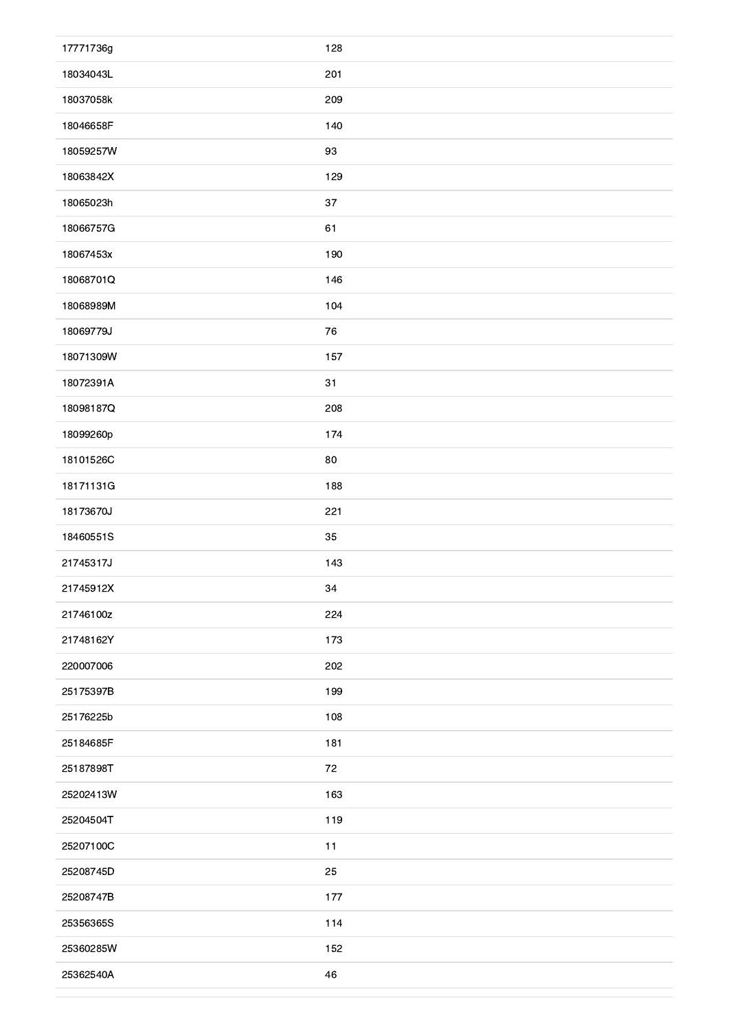| 17771736g | 128    |
|-----------|--------|
| 18034043L | 201    |
| 18037058k | 209    |
| 18046658F | 140    |
| 18059257W | 93     |
| 18063842X | 129    |
| 18065023h | $37\,$ |
| 18066757G | 61     |
| 18067453x | 190    |
| 18068701Q | 146    |
| 18068989M | 104    |
| 18069779J | 76     |
| 18071309W | 157    |
| 18072391A | 31     |
| 18098187Q | 208    |
| 18099260p | 174    |
| 18101526C | 80     |
| 18171131G | 188    |
| 18173670J | 221    |
| 18460551S | 35     |
| 21745317J | 143    |
| 21745912X | 34     |
| 21746100z | 224    |
| 21748162Y | 173    |
| 220007006 | 202    |
| 25175397B | 199    |
| 25176225b | 108    |
| 25184685F | 181    |
| 25187898T | 72     |
| 25202413W | 163    |
| 25204504T | 119    |
| 25207100C | 11     |
| 25208745D | 25     |
| 25208747B | 177    |
| 25356365S | 114    |
| 25360285W | 152    |
| 25362540A | 46     |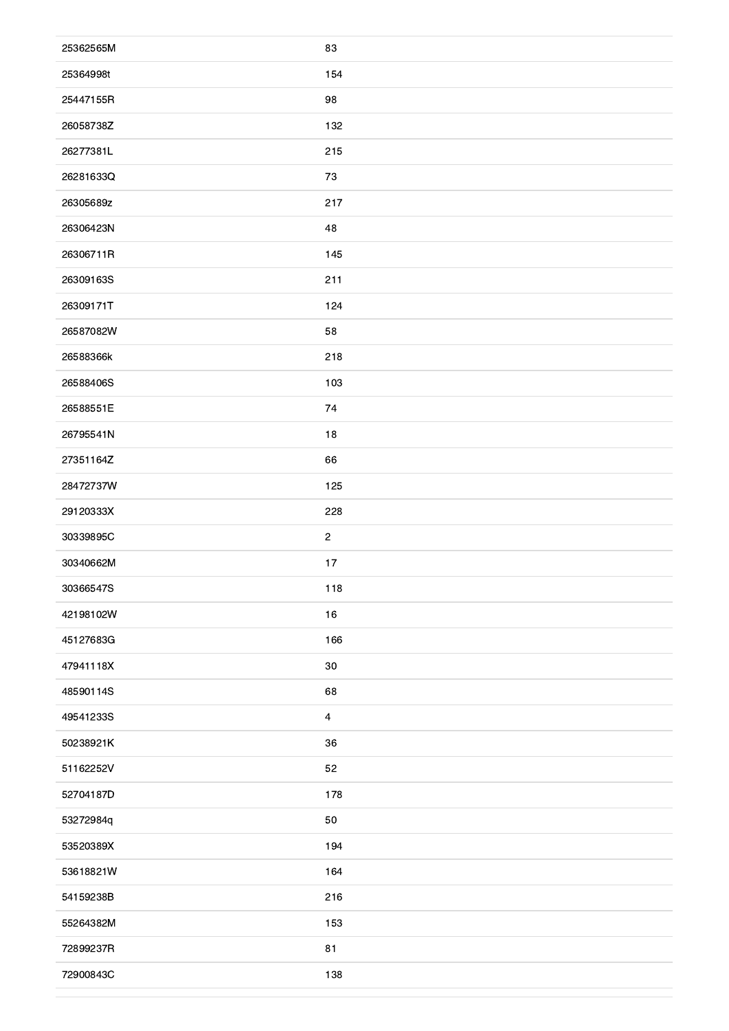| 25362565M | 83             |
|-----------|----------------|
| 25364998t | 154            |
| 25447155R | 98             |
| 26058738Z | 132            |
| 26277381L | 215            |
| 26281633Q | 73             |
| 26305689z | 217            |
| 26306423N | 48             |
| 26306711R | 145            |
| 26309163S | 211            |
| 26309171T | 124            |
| 26587082W | 58             |
| 26588366k | 218            |
| 26588406S | 103            |
| 26588551E | 74             |
| 26795541N | 18             |
| 27351164Z | 66             |
| 28472737W | 125            |
| 29120333X | 228            |
| 30339895C | $\mathbf{2}$   |
| 30340662M | 17             |
| 30366547S | 118            |
| 42198102W | 16             |
| 45127683G | 166            |
| 47941118X | $30\,$         |
| 48590114S | 68             |
| 49541233S | $\overline{4}$ |
| 50238921K | 36             |
| 51162252V | 52             |
| 52704187D | 178            |
| 53272984q | 50             |
| 53520389X | 194            |
| 53618821W | 164            |
| 54159238B | 216            |
| 55264382M | 153            |
| 72899237R | 81             |
| 72900843C | 138            |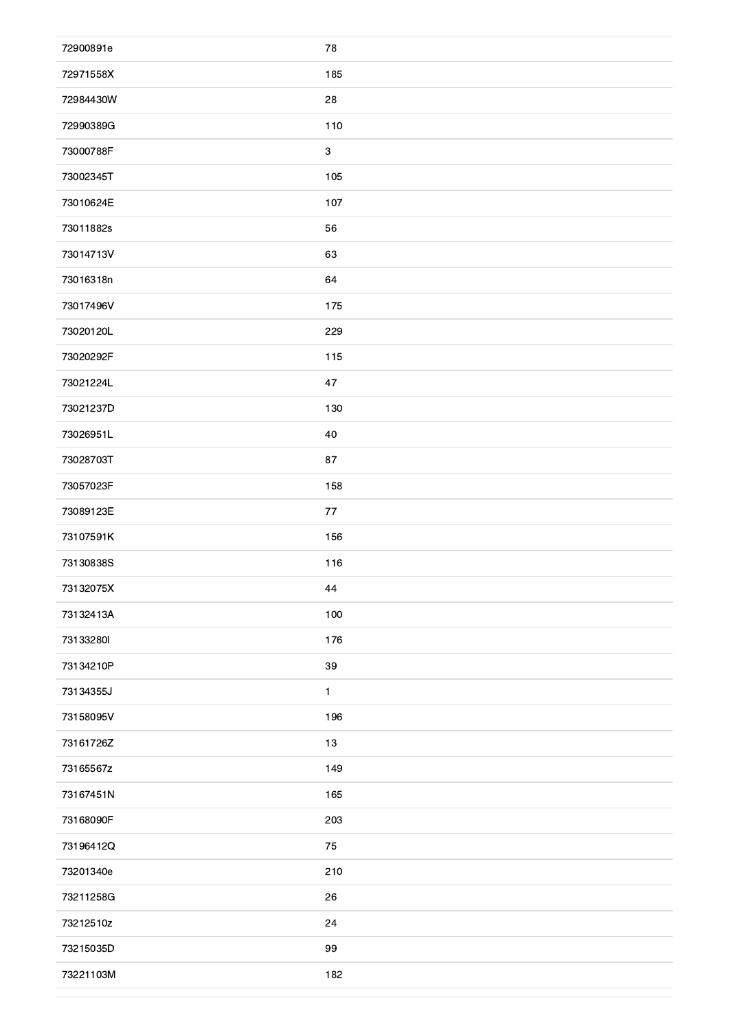| 72900891e | 78                        |
|-----------|---------------------------|
| 72971558X | 185                       |
| 72984430W | 28                        |
| 72990389G | 110                       |
| 73000788F | $\ensuremath{\mathsf{3}}$ |
| 73002345T | 105                       |
| 73010624E | 107                       |
| 73011882s | 56                        |
| 73014713V | 63                        |
| 73016318n | 64                        |
| 73017496V | 175                       |
| 73020120L | 229                       |
| 73020292F | 115                       |
| 73021224L | 47                        |
| 73021237D | 130                       |
| 73026951L | 40                        |
| 73028703T | 87                        |
| 73057023F | 158                       |
| 73089123E | 77                        |
| 73107591K | 156                       |
| 73130838S | 116                       |
| 73132075X | 44                        |
| 73132413A | 100                       |
| 73133280  | 176                       |
| 73134210P | $39\,$                    |
| 73134355J | $\mathbf{1}$              |
| 73158095V | 196                       |
| 73161726Z | 13                        |
| 73165567z | 149                       |
| 73167451N | 165                       |
| 73168090F | 203                       |
| 73196412Q | 75                        |
| 73201340e | 210                       |
| 73211258G | 26                        |
| 73212510z | 24                        |
| 73215035D | 99                        |
| 73221103M | 182                       |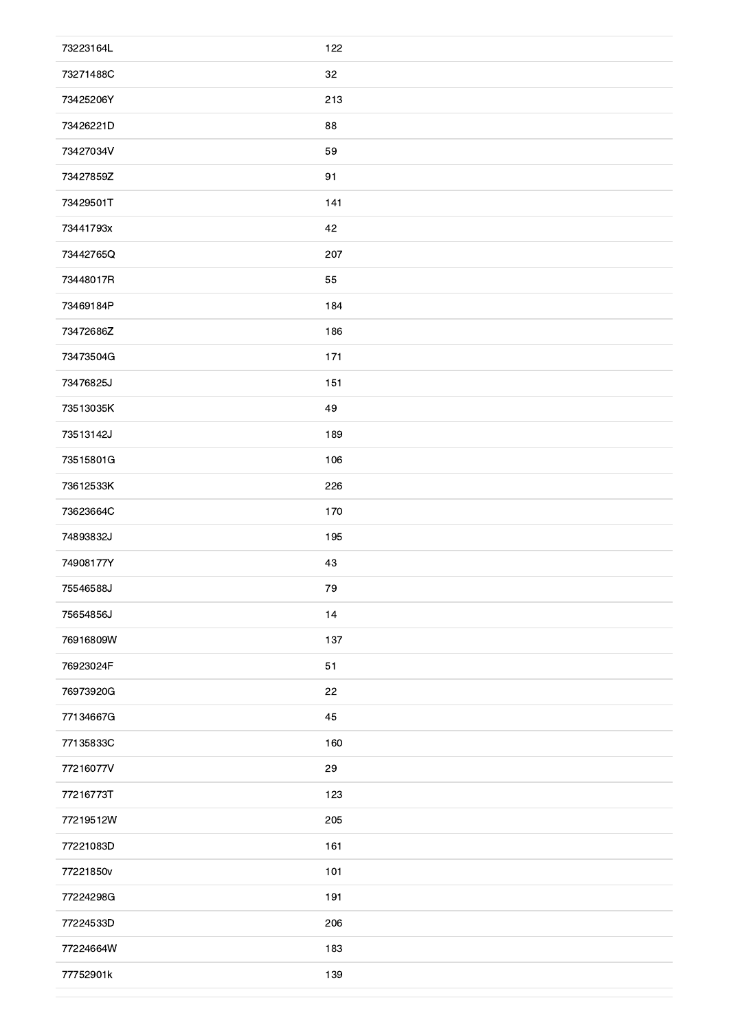| 73223164L | 122 |
|-----------|-----|
| 73271488C | 32  |
| 73425206Y | 213 |
| 73426221D | 88  |
| 73427034V | 59  |
| 73427859Z | 91  |
| 73429501T | 141 |
| 73441793x | 42  |
| 73442765Q | 207 |
| 73448017R | 55  |
| 73469184P | 184 |
| 73472686Z | 186 |
| 73473504G | 171 |
| 73476825J | 151 |
| 73513035K | 49  |
| 73513142J | 189 |
| 73515801G | 106 |
| 73612533K | 226 |
| 73623664C | 170 |
| 74893832J | 195 |
| 74908177Y | 43  |
| 75546588J | 79  |
| 75654856J | 14  |
| 76916809W | 137 |
| 76923024F | 51  |
| 76973920G | 22  |
| 77134667G | 45  |
| 77135833C | 160 |
| 77216077V | 29  |
| 77216773T | 123 |
| 77219512W | 205 |
| 77221083D | 161 |
| 77221850v | 101 |
| 77224298G | 191 |
| 77224533D | 206 |
| 77224664W | 183 |
| 77752901k | 139 |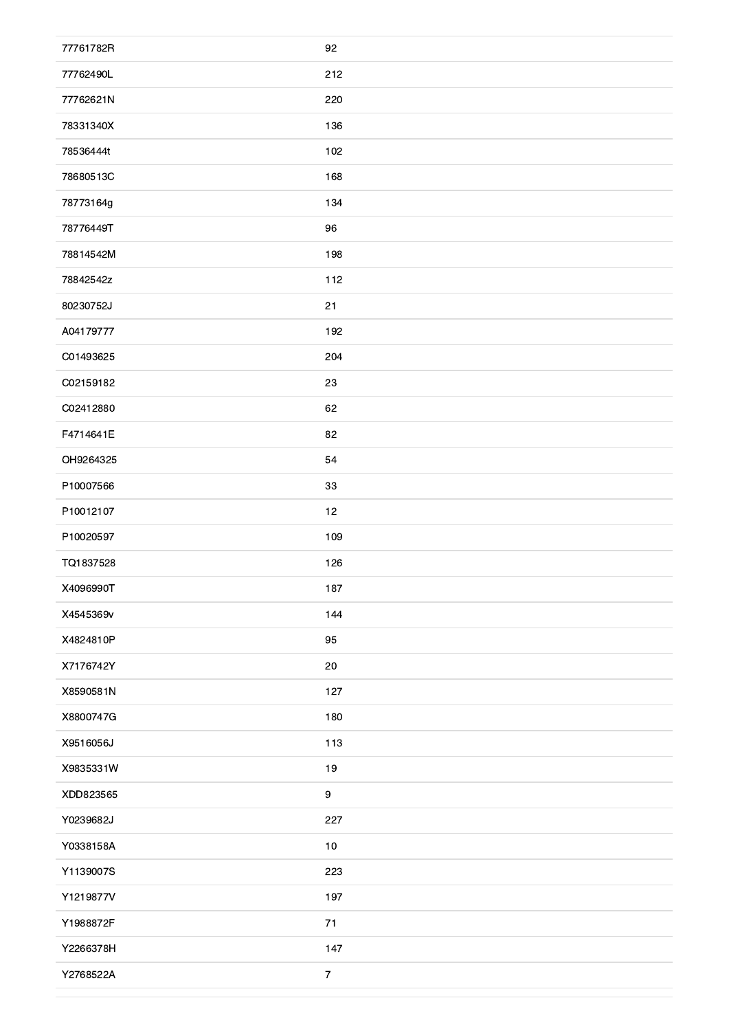| 77761782R | 92               |
|-----------|------------------|
| 77762490L | 212              |
| 77762621N | 220              |
| 78331340X | 136              |
| 78536444t | 102              |
| 78680513C | 168              |
| 78773164g | 134              |
| 78776449T | 96               |
| 78814542M | 198              |
| 78842542z | 112              |
| 80230752J | 21               |
| A04179777 | 192              |
| C01493625 | 204              |
| C02159182 | 23               |
| C02412880 | 62               |
| F4714641E | 82               |
| OH9264325 | 54               |
| P10007566 | 33               |
| P10012107 | 12               |
| P10020597 | 109              |
| TQ1837528 | 126              |
| X4096990T | 187              |
| X4545369v | 144              |
| X4824810P | 95               |
| X7176742Y | 20               |
| X8590581N | 127              |
| X8800747G | 180              |
| X9516056J | 113              |
| X9835331W | $19$             |
| XDD823565 | $\boldsymbol{9}$ |
| Y0239682J | 227              |
| Y0338158A | $10$             |
| Y1139007S | 223              |
| Y1219877V | 197              |
| Y1988872F | 71               |
| Y2266378H | 147              |
| Y2768522A | $\boldsymbol{7}$ |